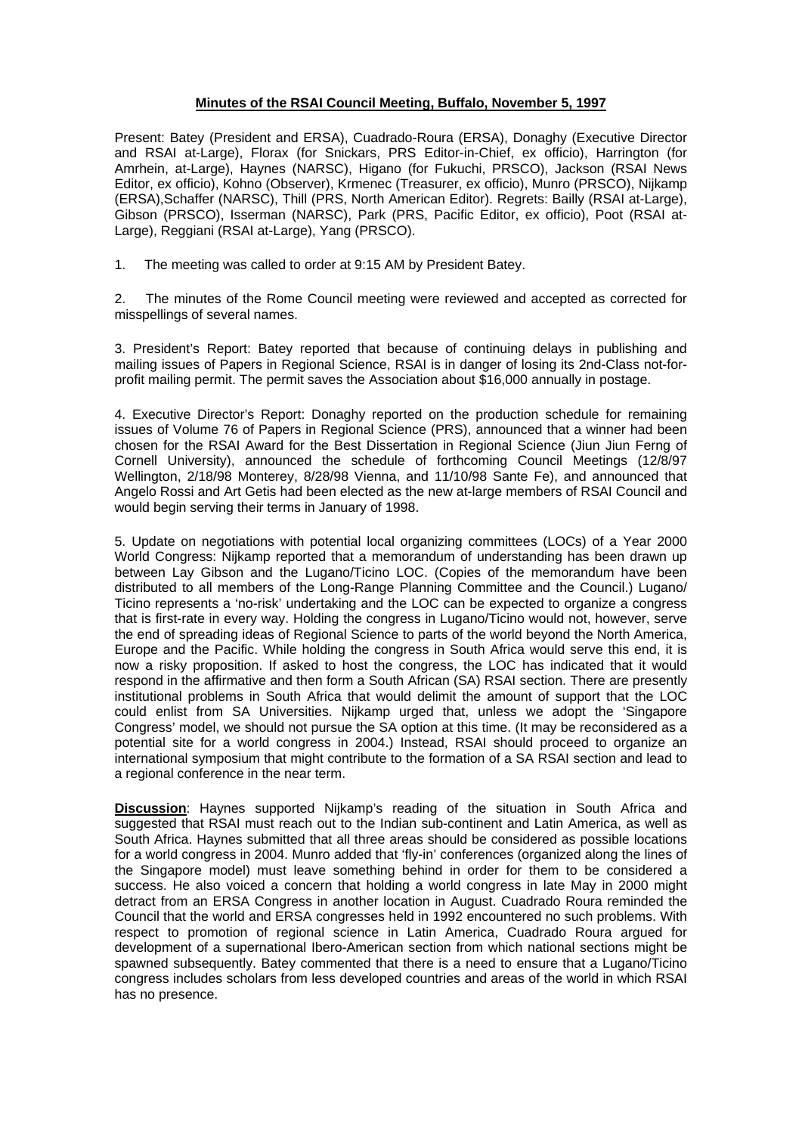## **Minutes of the RSAI Council Meeting, Buffalo, November 5, 1997**

Present: Batey (President and ERSA), Cuadrado-Roura (ERSA), Donaghy (Executive Director and RSAI at-Large), Florax (for Snickars, PRS Editor-in-Chief, ex officio), Harrington (for Amrhein, at-Large), Haynes (NARSC), Higano (for Fukuchi, PRSCO), Jackson (RSAI News Editor, ex officio), Kohno (Observer), Krmenec (Treasurer, ex officio), Munro (PRSCO), Nijkamp (ERSA),Schaffer (NARSC), Thill (PRS, North American Editor). Regrets: Bailly (RSAI at-Large), Gibson (PRSCO), Isserman (NARSC), Park (PRS, Pacific Editor, ex officio), Poot (RSAI at-Large), Reggiani (RSAI at-Large), Yang (PRSCO).

1. The meeting was called to order at 9:15 AM by President Batey.

2. The minutes of the Rome Council meeting were reviewed and accepted as corrected for misspellings of several names.

3. President's Report: Batey reported that because of continuing delays in publishing and mailing issues of Papers in Regional Science, RSAI is in danger of losing its 2nd-Class not-forprofit mailing permit. The permit saves the Association about \$16,000 annually in postage.

4. Executive Director's Report: Donaghy reported on the production schedule for remaining issues of Volume 76 of Papers in Regional Science (PRS), announced that a winner had been chosen for the RSAI Award for the Best Dissertation in Regional Science (Jiun Jiun Ferng of Cornell University), announced the schedule of forthcoming Council Meetings (12/8/97 Wellington, 2/18/98 Monterey, 8/28/98 Vienna, and 11/10/98 Sante Fe), and announced that Angelo Rossi and Art Getis had been elected as the new at-large members of RSAI Council and would begin serving their terms in January of 1998.

5. Update on negotiations with potential local organizing committees (LOCs) of a Year 2000 World Congress: Nijkamp reported that a memorandum of understanding has been drawn up between Lay Gibson and the Lugano/Ticino LOC. (Copies of the memorandum have been distributed to all members of the Long-Range Planning Committee and the Council.) Lugano/ Ticino represents a 'no-risk' undertaking and the LOC can be expected to organize a congress that is first-rate in every way. Holding the congress in Lugano/Ticino would not, however, serve the end of spreading ideas of Regional Science to parts of the world beyond the North America, Europe and the Pacific. While holding the congress in South Africa would serve this end, it is now a risky proposition. If asked to host the congress, the LOC has indicated that it would respond in the affirmative and then form a South African (SA) RSAI section. There are presently institutional problems in South Africa that would delimit the amount of support that the LOC could enlist from SA Universities. Nijkamp urged that, unless we adopt the 'Singapore Congress' model, we should not pursue the SA option at this time. (It may be reconsidered as a potential site for a world congress in 2004.) Instead, RSAI should proceed to organize an international symposium that might contribute to the formation of a SA RSAI section and lead to a regional conference in the near term.

**Discussion**: Haynes supported Nijkamp's reading of the situation in South Africa and suggested that RSAI must reach out to the Indian sub-continent and Latin America, as well as South Africa. Haynes submitted that all three areas should be considered as possible locations for a world congress in 2004. Munro added that 'fly-in' conferences (organized along the lines of the Singapore model) must leave something behind in order for them to be considered a success. He also voiced a concern that holding a world congress in late May in 2000 might detract from an ERSA Congress in another location in August. Cuadrado Roura reminded the Council that the world and ERSA congresses held in 1992 encountered no such problems. With respect to promotion of regional science in Latin America, Cuadrado Roura argued for development of a supernational Ibero-American section from which national sections might be spawned subsequently. Batey commented that there is a need to ensure that a Lugano/Ticino congress includes scholars from less developed countries and areas of the world in which RSAI has no presence.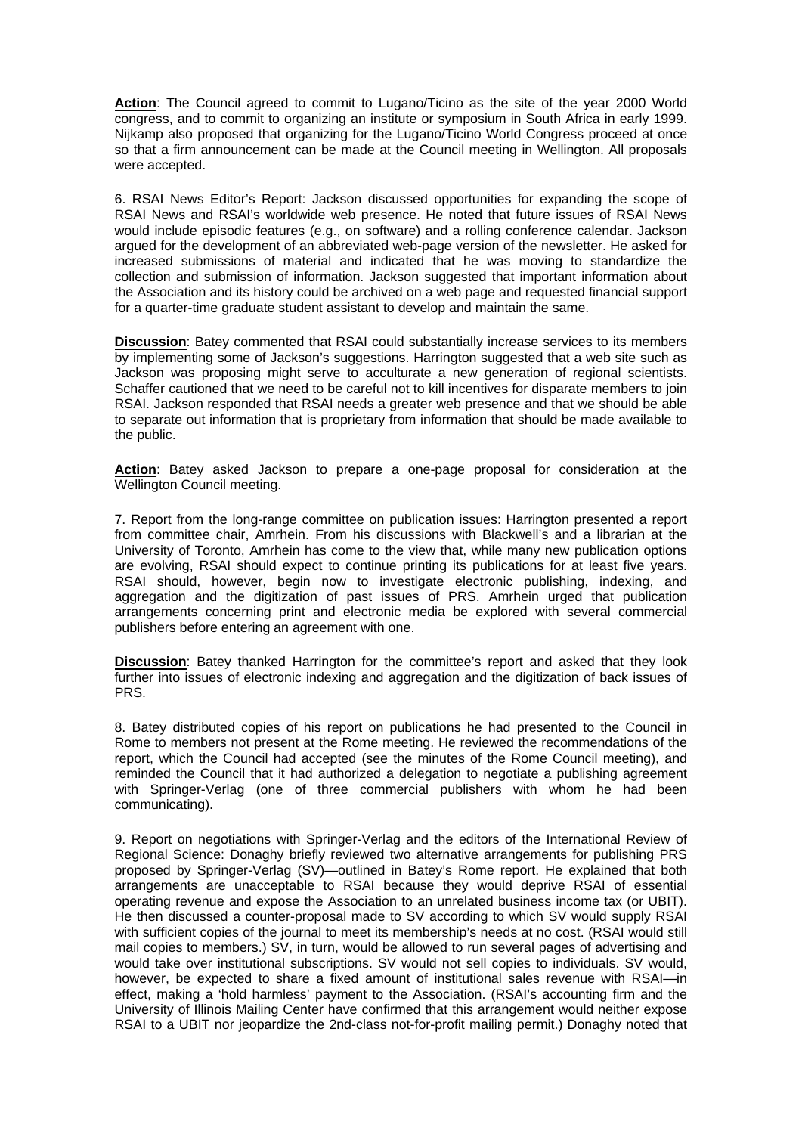**Action**: The Council agreed to commit to Lugano/Ticino as the site of the year 2000 World congress, and to commit to organizing an institute or symposium in South Africa in early 1999. Nijkamp also proposed that organizing for the Lugano/Ticino World Congress proceed at once so that a firm announcement can be made at the Council meeting in Wellington. All proposals were accepted.

6. RSAI News Editor's Report: Jackson discussed opportunities for expanding the scope of RSAI News and RSAI's worldwide web presence. He noted that future issues of RSAI News would include episodic features (e.g., on software) and a rolling conference calendar. Jackson argued for the development of an abbreviated web-page version of the newsletter. He asked for increased submissions of material and indicated that he was moving to standardize the collection and submission of information. Jackson suggested that important information about the Association and its history could be archived on a web page and requested financial support for a quarter-time graduate student assistant to develop and maintain the same.

**Discussion**: Batey commented that RSAI could substantially increase services to its members by implementing some of Jackson's suggestions. Harrington suggested that a web site such as Jackson was proposing might serve to acculturate a new generation of regional scientists. Schaffer cautioned that we need to be careful not to kill incentives for disparate members to join RSAI. Jackson responded that RSAI needs a greater web presence and that we should be able to separate out information that is proprietary from information that should be made available to the public.

**Action**: Batey asked Jackson to prepare a one-page proposal for consideration at the Wellington Council meeting.

7. Report from the long-range committee on publication issues: Harrington presented a report from committee chair, Amrhein. From his discussions with Blackwell's and a librarian at the University of Toronto, Amrhein has come to the view that, while many new publication options are evolving, RSAI should expect to continue printing its publications for at least five years. RSAI should, however, begin now to investigate electronic publishing, indexing, and aggregation and the digitization of past issues of PRS. Amrhein urged that publication arrangements concerning print and electronic media be explored with several commercial publishers before entering an agreement with one.

**Discussion**: Batey thanked Harrington for the committee's report and asked that they look further into issues of electronic indexing and aggregation and the digitization of back issues of PRS.

8. Batey distributed copies of his report on publications he had presented to the Council in Rome to members not present at the Rome meeting. He reviewed the recommendations of the report, which the Council had accepted (see the minutes of the Rome Council meeting), and reminded the Council that it had authorized a delegation to negotiate a publishing agreement with Springer-Verlag (one of three commercial publishers with whom he had been communicating).

9. Report on negotiations with Springer-Verlag and the editors of the International Review of Regional Science: Donaghy briefly reviewed two alternative arrangements for publishing PRS proposed by Springer-Verlag (SV)—outlined in Batey's Rome report. He explained that both arrangements are unacceptable to RSAI because they would deprive RSAI of essential operating revenue and expose the Association to an unrelated business income tax (or UBIT). He then discussed a counter-proposal made to SV according to which SV would supply RSAI with sufficient copies of the journal to meet its membership's needs at no cost. (RSAI would still mail copies to members.) SV, in turn, would be allowed to run several pages of advertising and would take over institutional subscriptions. SV would not sell copies to individuals. SV would, however, be expected to share a fixed amount of institutional sales revenue with RSAI—in effect, making a 'hold harmless' payment to the Association. (RSAI's accounting firm and the University of Illinois Mailing Center have confirmed that this arrangement would neither expose RSAI to a UBIT nor jeopardize the 2nd-class not-for-profit mailing permit.) Donaghy noted that